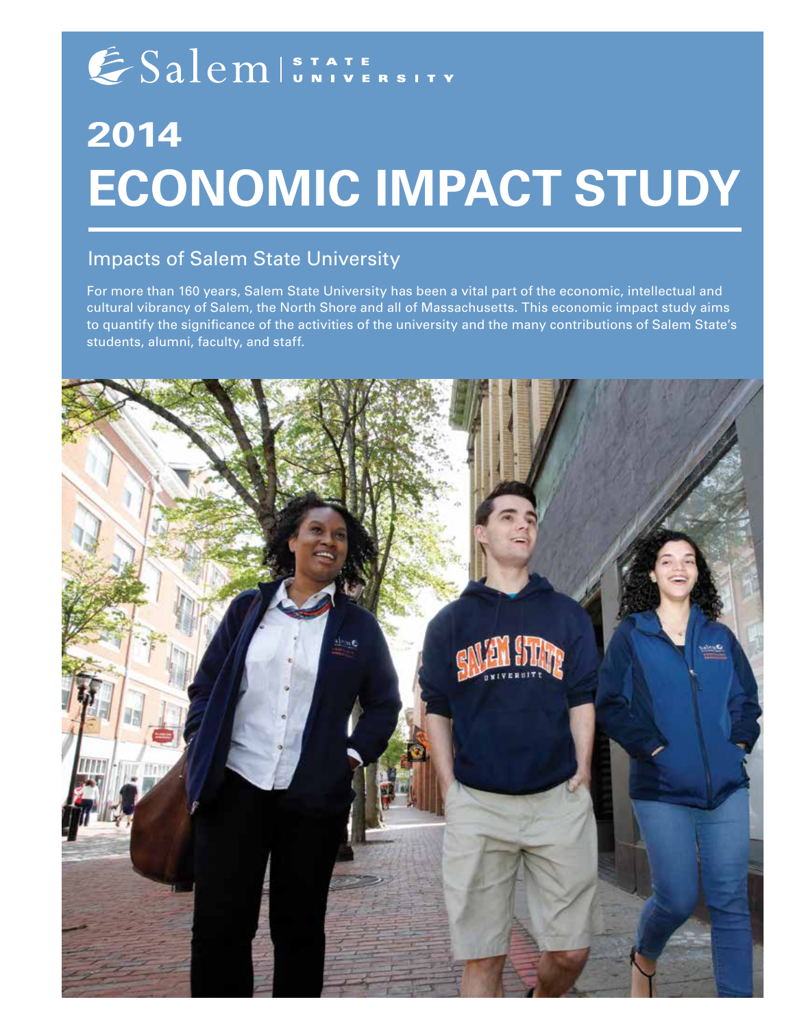# ESalem STATE

# **2014 Economic Impact Study**

## Impacts of Salem State University

For more than 160 years, Salem State University has been a vital part of the economic, intellectual and cultural vibrancy of Salem, the North Shore and all of Massachusetts. This economic impact study aims to quantify the significance of the activities of the university and the many contributions of Salem State's students, alumni, faculty, and staff.

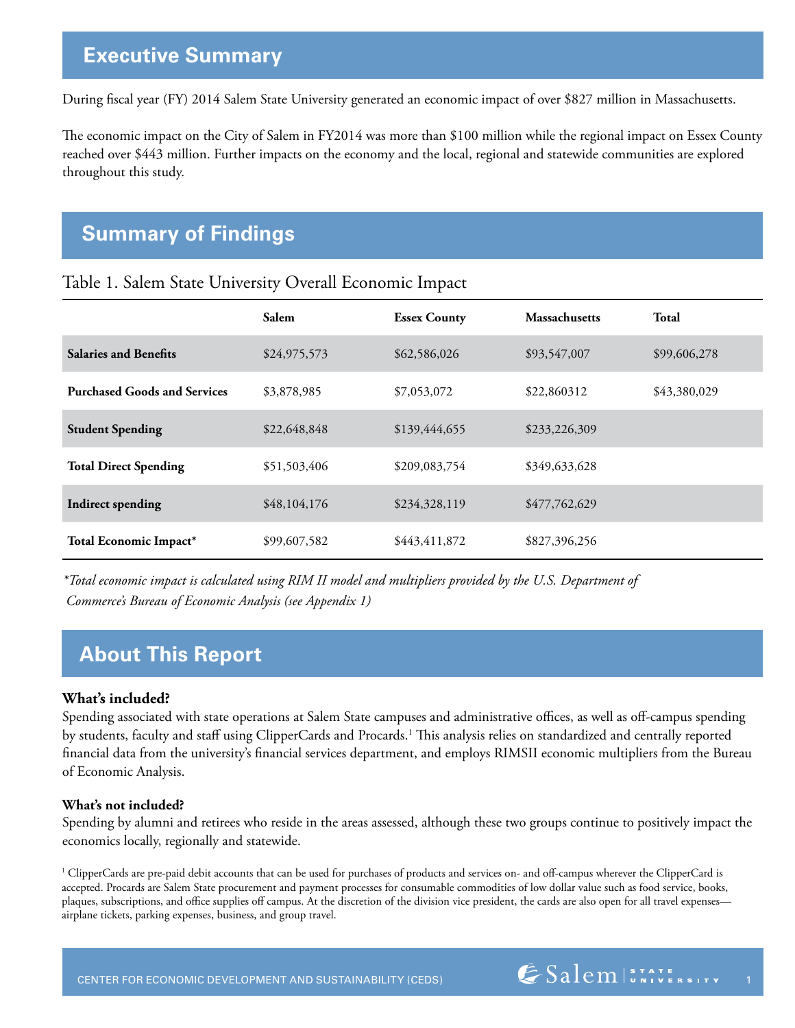## **Executive Summary**

During fiscal year (FY) 2014 Salem State University generated an economic impact of over \$827 million in Massachusetts.

The economic impact on the City of Salem in FY2014 was more than \$100 million while the regional impact on Essex County reached over \$443 million. Further impacts on the economy and the local, regional and statewide communities are explored throughout this study.

## **Summary of Findings**

|                                     | <b>Salem</b> | <b>Essex County</b> | <b>Massachusetts</b> | <b>Total</b> |
|-------------------------------------|--------------|---------------------|----------------------|--------------|
| <b>Salaries and Benefits</b>        | \$24,975,573 | \$62,586,026        | \$93,547,007         | \$99,606,278 |
| <b>Purchased Goods and Services</b> | \$3,878,985  | \$7,053,072         | \$22,860312          | \$43,380,029 |
| <b>Student Spending</b>             | \$22,648,848 | \$139,444,655       | \$233,226,309        |              |
| <b>Total Direct Spending</b>        | \$51,503,406 | \$209,083,754       | \$349,633,628        |              |
| <b>Indirect spending</b>            | \$48,104,176 | \$234,328,119       | \$477,762,629        |              |
| Total Economic Impact*              | \$99,607,582 | \$443,411,872       | \$827,396,256        |              |

Table 1. Salem State University Overall Economic Impact

*\*Total economic impact is calculated using RIM II model and multipliers provided by the U.S. Department of Commerce's Bureau of Economic Analysis (see Appendix 1)*

# **About This Report**

#### **What's included?**

Spending associated with state operations at Salem State campuses and administrative offices, as well as off-campus spending by students, faculty and staff using ClipperCards and Procards.<sup>1</sup> This analysis relies on standardized and centrally reported financial data from the university's financial services department, and employs RIMSII economic multipliers from the Bureau of Economic Analysis.

#### **What's not included?**

Spending by alumni and retirees who reside in the areas assessed, although these two groups continue to positively impact the economics locally, regionally and statewide.

1 ClipperCards are pre-paid debit accounts that can be used for purchases of products and services on- and off-campus wherever the ClipperCard is accepted. Procards are Salem State procurement and payment processes for consumable commodities of low dollar value such as food service, books, plaques, subscriptions, and office supplies off campus. At the discretion of the division vice president, the cards are also open for all travel expenses airplane tickets, parking expenses, business, and group travel.

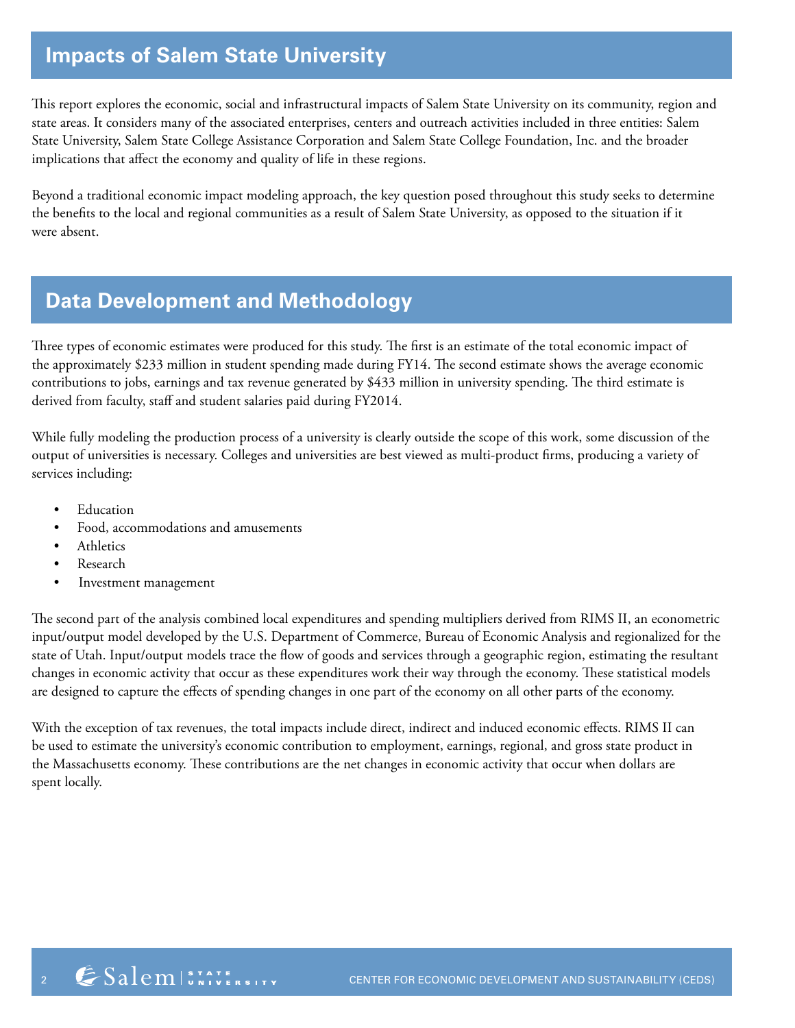# **Impacts of Salem State University**

This report explores the economic, social and infrastructural impacts of Salem State University on its community, region and state areas. It considers many of the associated enterprises, centers and outreach activities included in three entities: Salem State University, Salem State College Assistance Corporation and Salem State College Foundation, Inc. and the broader implications that affect the economy and quality of life in these regions.

Beyond a traditional economic impact modeling approach, the key question posed throughout this study seeks to determine the benefits to the local and regional communities as a result of Salem State University, as opposed to the situation if it were absent.

# **Data Development and Methodology**

Three types of economic estimates were produced for this study. The first is an estimate of the total economic impact of the approximately \$233 million in student spending made during FY14. The second estimate shows the average economic contributions to jobs, earnings and tax revenue generated by \$433 million in university spending. The third estimate is derived from faculty, staff and student salaries paid during FY2014.

While fully modeling the production process of a university is clearly outside the scope of this work, some discussion of the output of universities is necessary. Colleges and universities are best viewed as multi-product firms, producing a variety of services including:

- **Education**
- Food, accommodations and amusements
- Athletics
- **Research**
- Investment management

The second part of the analysis combined local expenditures and spending multipliers derived from RIMS II, an econometric input/output model developed by the U.S. Department of Commerce, Bureau of Economic Analysis and regionalized for the state of Utah. Input/output models trace the flow of goods and services through a geographic region, estimating the resultant changes in economic activity that occur as these expenditures work their way through the economy. These statistical models are designed to capture the effects of spending changes in one part of the economy on all other parts of the economy.

With the exception of tax revenues, the total impacts include direct, indirect and induced economic effects. RIMS II can be used to estimate the university's economic contribution to employment, earnings, regional, and gross state product in the Massachusetts economy. These contributions are the net changes in economic activity that occur when dollars are spent locally.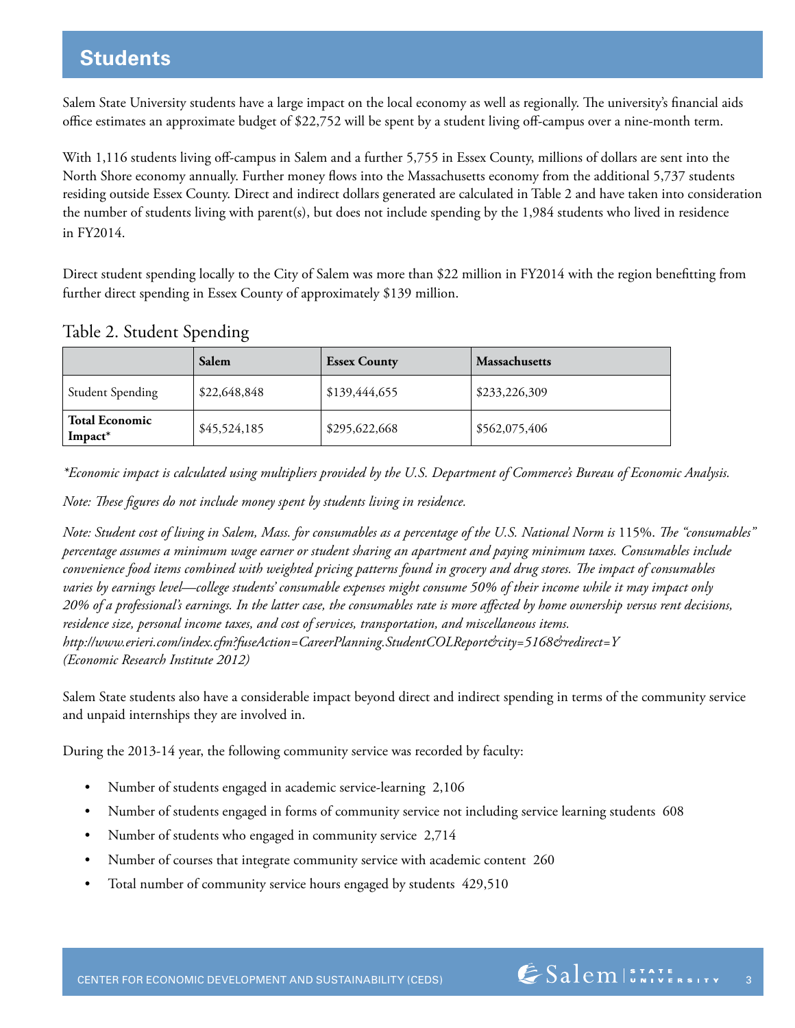## **Students**

Salem State University students have a large impact on the local economy as well as regionally. The university's financial aids office estimates an approximate budget of \$22,752 will be spent by a student living off-campus over a nine-month term.

With 1,116 students living off-campus in Salem and a further 5,755 in Essex County, millions of dollars are sent into the North Shore economy annually. Further money flows into the Massachusetts economy from the additional 5,737 students residing outside Essex County. Direct and indirect dollars generated are calculated in Table 2 and have taken into consideration the number of students living with parent(s), but does not include spending by the 1,984 students who lived in residence in FY2014.

Direct student spending locally to the City of Salem was more than \$22 million in FY2014 with the region benefitting from further direct spending in Essex County of approximately \$139 million.

### Table 2. Student Spending

|                                              | Salem        | <b>Essex County</b> | Massachusetts |
|----------------------------------------------|--------------|---------------------|---------------|
| <b>Student Spending</b>                      | \$22,648,848 | \$139,444,655       | \$233,226,309 |
| <b>Total Economic</b><br>Impact <sup>*</sup> | \$45,524,185 | \$295,622,668       | \$562,075,406 |

*\*Economic impact is calculated using multipliers provided by the U.S. Department of Commerce's Bureau of Economic Analysis.*

*Note: These figures do not include money spent by students living in residence.*

*Note: Student cost of living in Salem, Mass. for consumables as a percentage of the U.S. National Norm is 115%. The "consumables" percentage assumes a minimum wage earner or student sharing an apartment and paying minimum taxes. Consumables include convenience food items combined with weighted pricing patterns found in grocery and drug stores. The impact of consumables varies by earnings level—college students' consumable expenses might consume 50% of their income while it may impact only 20% of a professional's earnings. In the latter case, the consumables rate is more affected by home ownership versus rent decisions, residence size, personal income taxes, and cost of services, transportation, and miscellaneous items. http://www.erieri.com/index.cfm?fuseAction=CareerPlanning.StudentCOLReport&city=5168&redirect=Y (Economic Research Institute 2012)*

Salem State students also have a considerable impact beyond direct and indirect spending in terms of the community service and unpaid internships they are involved in.

During the 2013-14 year, the following community service was recorded by faculty:

- Number of students engaged in academic service-learning 2,106
- Number of students engaged in forms of community service not including service learning students 608
- Number of students who engaged in community service 2,714
- Number of courses that integrate community service with academic content 260
- Total number of community service hours engaged by students 429,510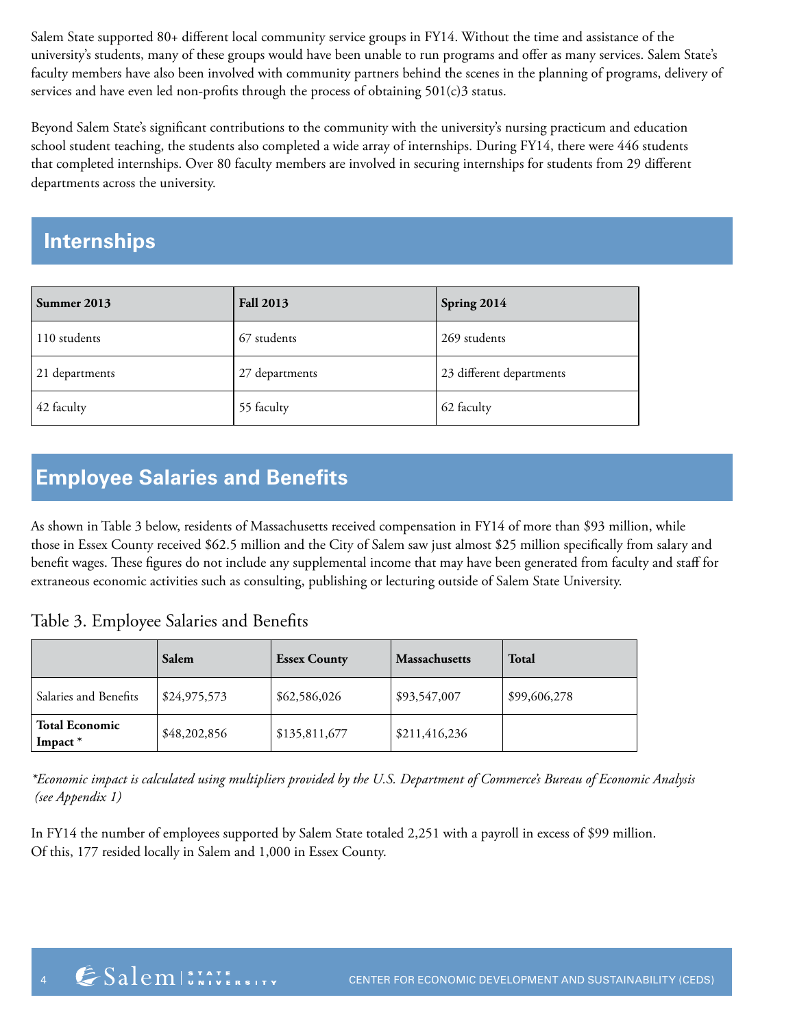Salem State supported 80+ different local community service groups in FY14. Without the time and assistance of the university's students, many of these groups would have been unable to run programs and offer as many services. Salem State's faculty members have also been involved with community partners behind the scenes in the planning of programs, delivery of services and have even led non-profits through the process of obtaining 501(c)3 status.

Beyond Salem State's significant contributions to the community with the university's nursing practicum and education school student teaching, the students also completed a wide array of internships. During FY14, there were 446 students that completed internships. Over 80 faculty members are involved in securing internships for students from 29 different departments across the university.

# **Internships**

| Summer 2013    | <b>Fall 2013</b> | Spring 2014              |
|----------------|------------------|--------------------------|
| 110 students   | 67 students      | 269 students             |
| 21 departments | 27 departments   | 23 different departments |
| 42 faculty     | 55 faculty       | 62 faculty               |

# **Employee Salaries and Benefits**

As shown in Table 3 below, residents of Massachusetts received compensation in FY14 of more than \$93 million, while those in Essex County received \$62.5 million and the City of Salem saw just almost \$25 million specifically from salary and benefit wages. These figures do not include any supplemental income that may have been generated from faculty and staff for extraneous economic activities such as consulting, publishing or lecturing outside of Salem State University.

### Table 3. Employee Salaries and Benefits

|                                  | Salem        | <b>Essex County</b> | <b>Massachusetts</b> | <b>Total</b> |
|----------------------------------|--------------|---------------------|----------------------|--------------|
| Salaries and Benefits            | \$24,975,573 | \$62,586,026        | \$93,547,007         | \$99,606,278 |
| <b>Total Economic</b><br>Impact* | \$48,202,856 | \$135,811,677       | \$211,416,236        |              |

*\*Economic impact is calculated using multipliers provided by the U.S. Department of Commerce's Bureau of Economic Analysis (see Appendix 1)*

In FY14 the number of employees supported by Salem State totaled 2,251 with a payroll in excess of \$99 million. Of this, 177 resided locally in Salem and 1,000 in Essex County.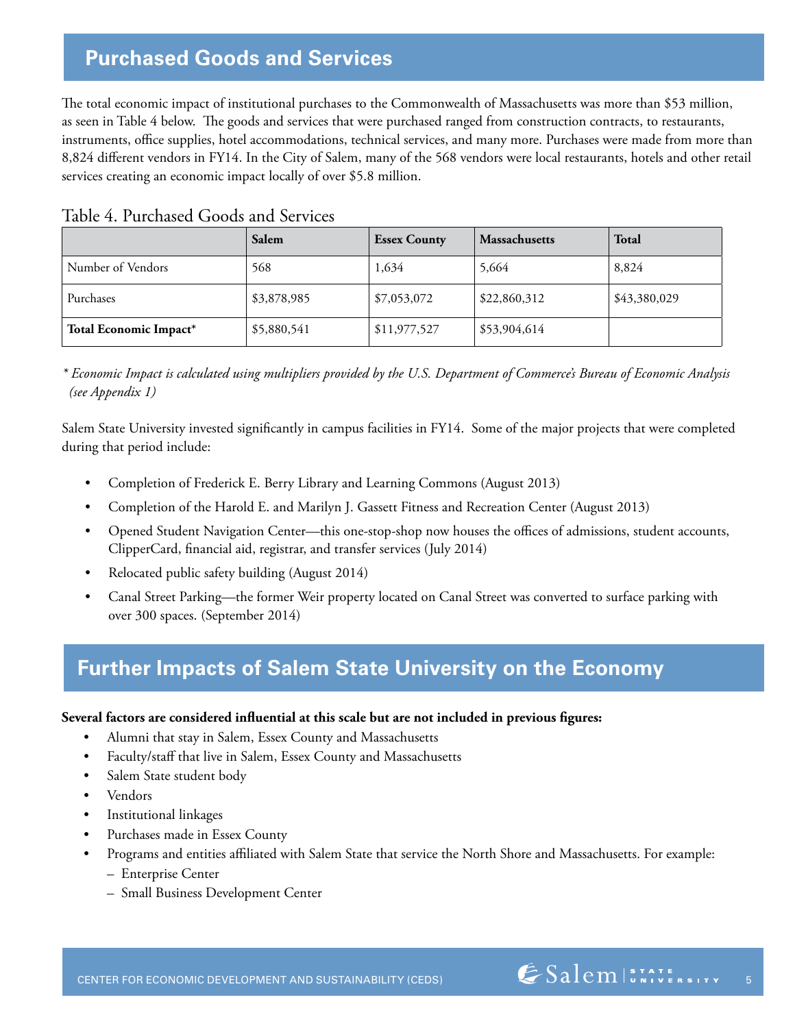## **Purchased Goods and Services**

The total economic impact of institutional purchases to the Commonwealth of Massachusetts was more than \$53 million, as seen in Table 4 below. The goods and services that were purchased ranged from construction contracts, to restaurants, instruments, office supplies, hotel accommodations, technical services, and many more. Purchases were made from more than 8,824 different vendors in FY14. In the City of Salem, many of the 568 vendors were local restaurants, hotels and other retail services creating an economic impact locally of over \$5.8 million.

|                        | Salem       | <b>Essex County</b> | <b>Massachusetts</b> | <b>Total</b> |
|------------------------|-------------|---------------------|----------------------|--------------|
| Number of Vendors      | 568         | 1,634               | 5,664                | 8,824        |
| Purchases              | \$3,878,985 | \$7,053,072         | \$22,860,312         | \$43,380,029 |
| Total Economic Impact* | \$5,880,541 | \$11,977,527        | \$53,904,614         |              |

|  | Table 4. Purchased Goods and Services |
|--|---------------------------------------|
|--|---------------------------------------|

*\* Economic Impact is calculated using multipliers provided by the U.S. Department of Commerce's Bureau of Economic Analysis (see Appendix 1)*

Salem State University invested significantly in campus facilities in FY14. Some of the major projects that were completed during that period include:

- Completion of Frederick E. Berry Library and Learning Commons (August 2013)
- Completion of the Harold E. and Marilyn J. Gassett Fitness and Recreation Center (August 2013)
- Opened Student Navigation Center—this one-stop-shop now houses the offices of admissions, student accounts, ClipperCard, financial aid, registrar, and transfer services (July 2014)
- Relocated public safety building (August 2014)
- Canal Street Parking—the former Weir property located on Canal Street was converted to surface parking with over 300 spaces. (September 2014)

# **Further Impacts of Salem State University on the Economy**

#### **Several factors are considered influential at this scale but are not included in previous figures:**

- Alumni that stay in Salem, Essex County and Massachusetts
- Faculty/staff that live in Salem, Essex County and Massachusetts
- Salem State student body
- Vendors
- Institutional linkages
- Purchases made in Essex County
	- Programs and entities affiliated with Salem State that service the North Shore and Massachusetts. For example:
		- Enterprise Center
		- Small Business Development Center

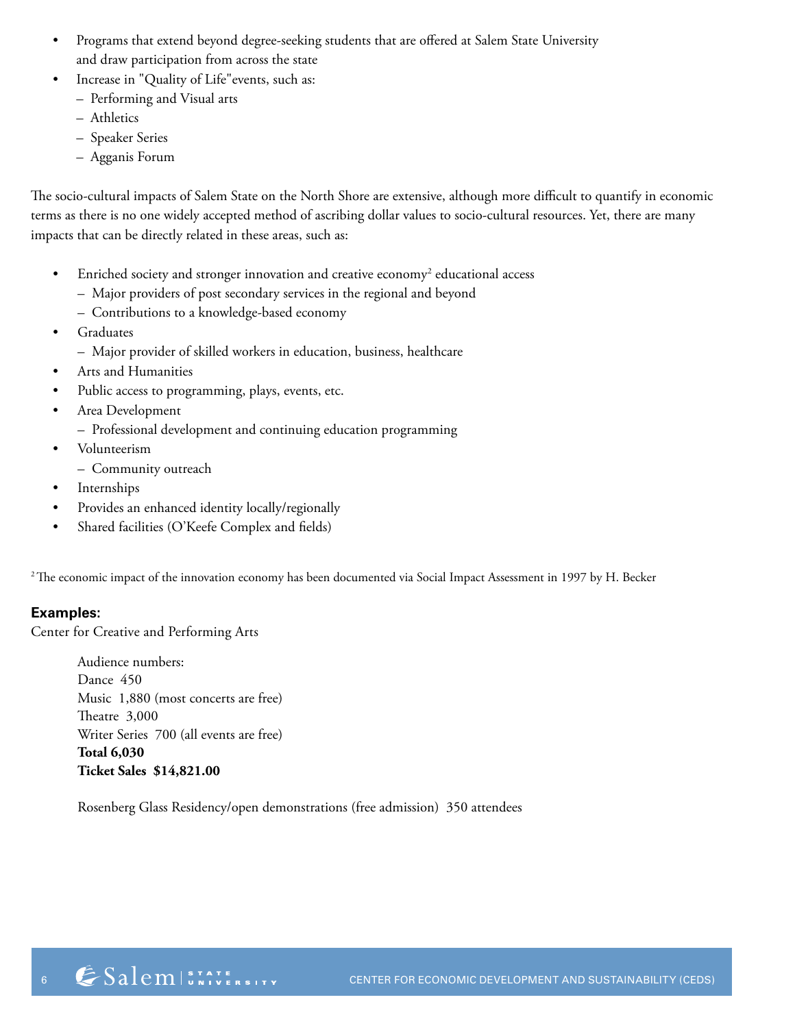- Programs that extend beyond degree-seeking students that are offered at Salem State University and draw participation from across the state
	- Increase in "Quality of Life" events, such as:
	- Performing and Visual arts
	- Athletics
	- Speaker Series
	- Agganis Forum

The socio-cultural impacts of Salem State on the North Shore are extensive, although more difficult to quantify in economic terms as there is no one widely accepted method of ascribing dollar values to socio-cultural resources. Yet, there are many impacts that can be directly related in these areas, such as:

- Enriched society and stronger innovation and creative economy<sup>2</sup> educational access
	- Major providers of post secondary services in the regional and beyond
	- Contributions to a knowledge-based economy
- Graduates
	- Major provider of skilled workers in education, business, healthcare
- Arts and Humanities
- Public access to programming, plays, events, etc.
- Area Development
	- Professional development and continuing education programming
- Volunteerism
- Community outreach
- Internships
- Provides an enhanced identity locally/regionally
- Shared facilities (O'Keefe Complex and fields)

<sup>2</sup> The economic impact of the innovation economy has been documented via Social Impact Assessment in 1997 by H. Becker

#### **Examples:**

Center for Creative and Performing Arts

Audience numbers: Dance 450 Music 1,880 (most concerts are free) Theatre 3,000 Writer Series 700 (all events are free) **Total 6,030 Ticket Sales \$14,821.00**

Rosenberg Glass Residency/open demonstrations (free admission) 350 attendees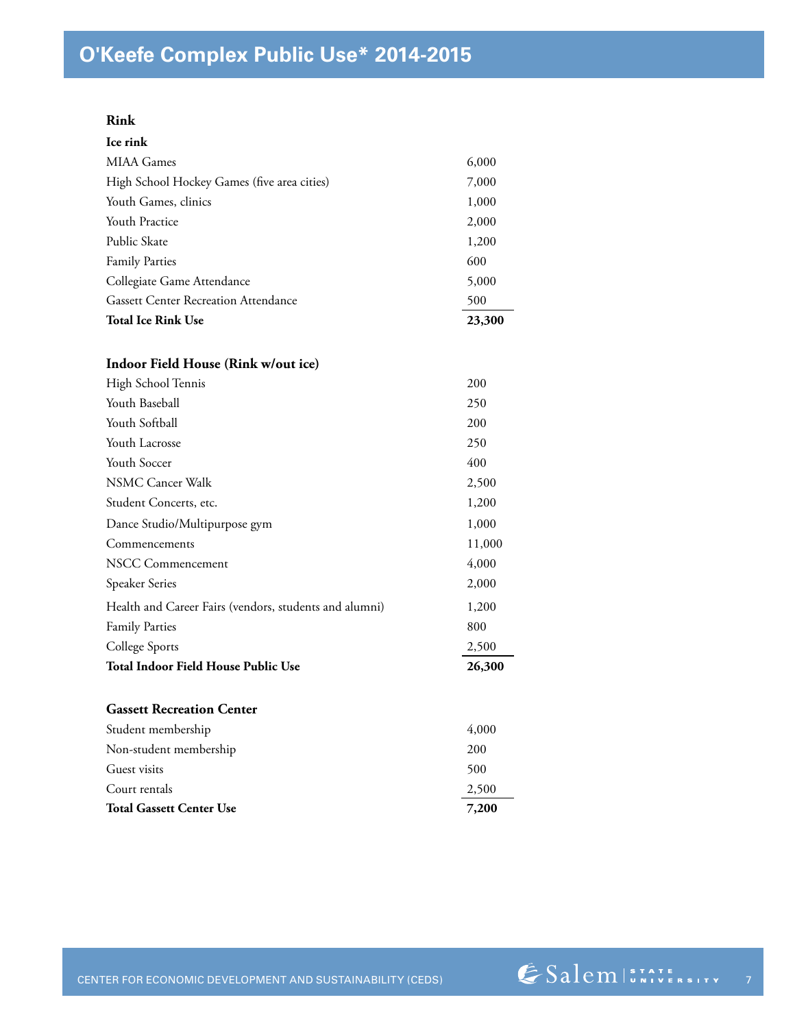#### **Rink**

| Ice rink                                               |        |
|--------------------------------------------------------|--------|
| <b>MIAA</b> Games                                      | 6,000  |
| High School Hockey Games (five area cities)            | 7,000  |
| Youth Games, clinics                                   | 1,000  |
| <b>Youth Practice</b>                                  | 2,000  |
| Public Skate                                           | 1,200  |
| <b>Family Parties</b>                                  | 600    |
| Collegiate Game Attendance                             | 5,000  |
| <b>Gassett Center Recreation Attendance</b>            | 500    |
| <b>Total Ice Rink Use</b>                              | 23,300 |
| Indoor Field House (Rink w/out ice)                    |        |
| High School Tennis                                     | 200    |
| Youth Baseball                                         | 250    |
| Youth Softball                                         | 200    |
| Youth Lacrosse                                         | 250    |
| Youth Soccer                                           | 400    |
| <b>NSMC Cancer Walk</b>                                | 2,500  |
| Student Concerts, etc.                                 | 1,200  |
| Dance Studio/Multipurpose gym                          | 1,000  |
| Commencements                                          | 11,000 |
| NSCC Commencement                                      | 4,000  |
| Speaker Series                                         | 2,000  |
| Health and Career Fairs (vendors, students and alumni) | 1,200  |
| <b>Family Parties</b>                                  | 800    |
| College Sports                                         | 2,500  |
| <b>Total Indoor Field House Public Use</b>             | 26,300 |
| <b>Gassett Recreation Center</b>                       |        |
| Student membership                                     | 4,000  |
| Non-student membership                                 | 200    |
| Guest visits                                           | 500    |
| Court rentals                                          | 2,500  |
| <b>Total Gassett Center Use</b>                        | 7,200  |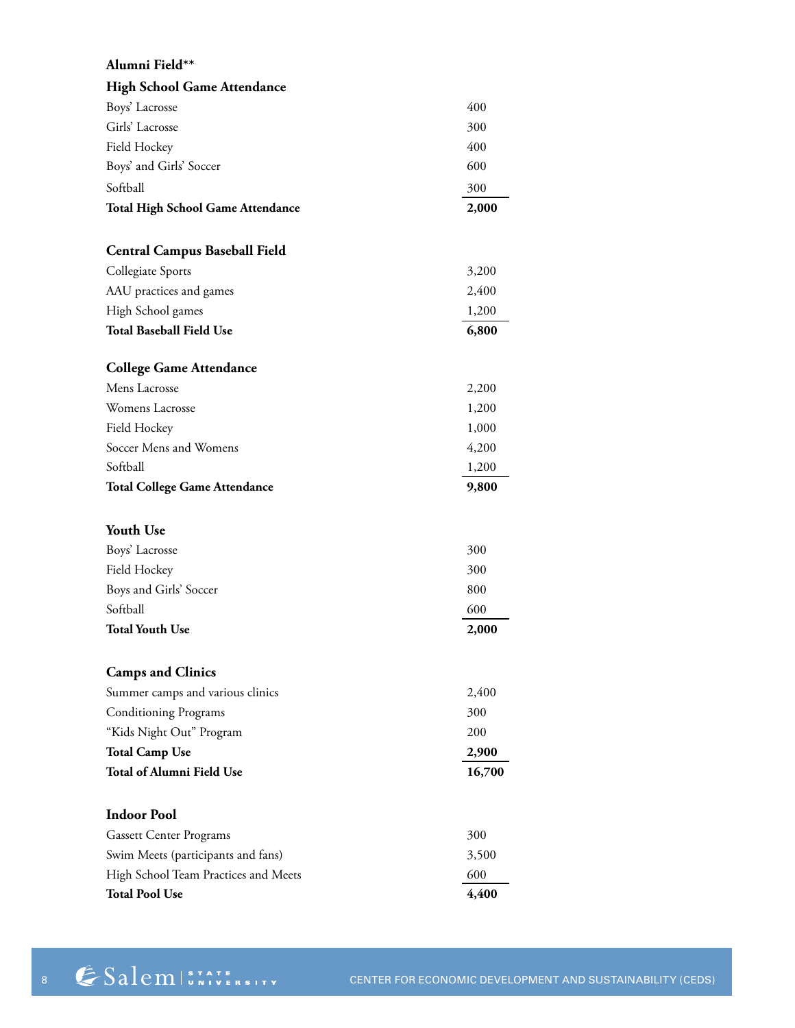| Alumni Field**                           |                |
|------------------------------------------|----------------|
| <b>High School Game Attendance</b>       |                |
| Boys' Lacrosse                           | 400            |
| Girls' Lacrosse                          | 300            |
| Field Hockey                             | 400            |
| Boys' and Girls' Soccer                  | 600            |
| Softball                                 | 300            |
| <b>Total High School Game Attendance</b> | 2,000          |
|                                          |                |
| <b>Central Campus Baseball Field</b>     |                |
| Collegiate Sports                        | 3,200          |
| AAU practices and games                  | 2,400          |
| High School games                        | 1,200          |
| <b>Total Baseball Field Use</b>          | 6,800          |
|                                          |                |
| <b>College Game Attendance</b>           |                |
| Mens Lacrosse                            | 2,200          |
| Womens Lacrosse                          | 1,200          |
| Field Hockey<br>Soccer Mens and Womens   | 1,000          |
|                                          | 4,200          |
| Softball                                 | 1,200<br>9,800 |
| <b>Total College Game Attendance</b>     |                |
| <b>Youth Use</b>                         |                |
| Boys' Lacrosse                           | 300            |
| Field Hockey                             | 300            |
| Boys and Girls' Soccer                   | 800            |
| Softball                                 | 600            |
| <b>Total Youth Use</b>                   | 2,000          |
|                                          |                |
| <b>Camps and Clinics</b>                 |                |
| Summer camps and various clinics         | 2,400          |
| <b>Conditioning Programs</b>             | 300            |
| "Kids Night Out" Program                 | 200            |
| <b>Total Camp Use</b>                    | 2,900          |
| <b>Total of Alumni Field Use</b>         | 16,700         |
|                                          |                |
| <b>Indoor Pool</b>                       |                |
| <b>Gassett Center Programs</b>           | 300            |
| Swim Meets (participants and fans)       | 3,500          |
| High School Team Practices and Meets     | 600            |
| <b>Total Pool Use</b>                    | 4,400          |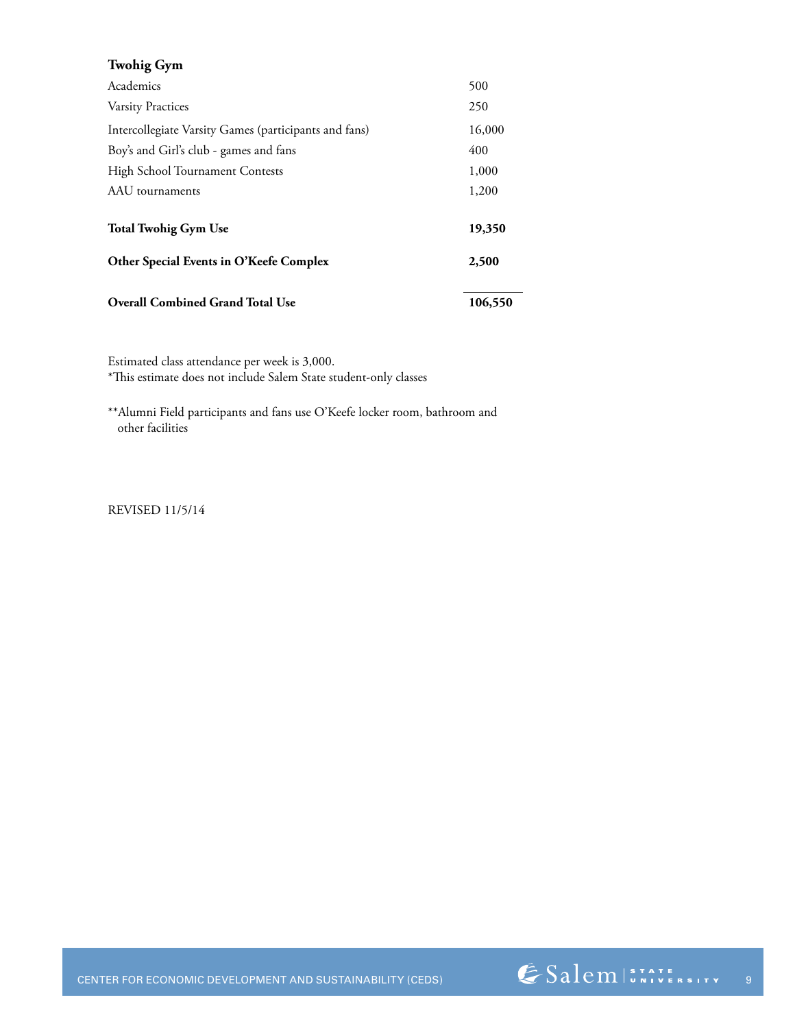| <b>Twohig Gym</b>                                     |         |
|-------------------------------------------------------|---------|
| Academics                                             | 500     |
| <b>Varsity Practices</b>                              | 250     |
| Intercollegiate Varsity Games (participants and fans) | 16,000  |
| Boy's and Girl's club - games and fans                | 400     |
| <b>High School Tournament Contests</b>                | 1,000   |
| AAU tournaments                                       | 1,200   |
| <b>Total Twohig Gym Use</b>                           | 19,350  |
| Other Special Events in O'Keefe Complex               | 2,500   |
| <b>Overall Combined Grand Total Use</b>               | 106,550 |

Estimated class attendance per week is 3,000.

\*This estimate does not include Salem State student-only classes

\*\*Alumni Field participants and fans use O'Keefe locker room, bathroom and other facilities

REVISED 11/5/14